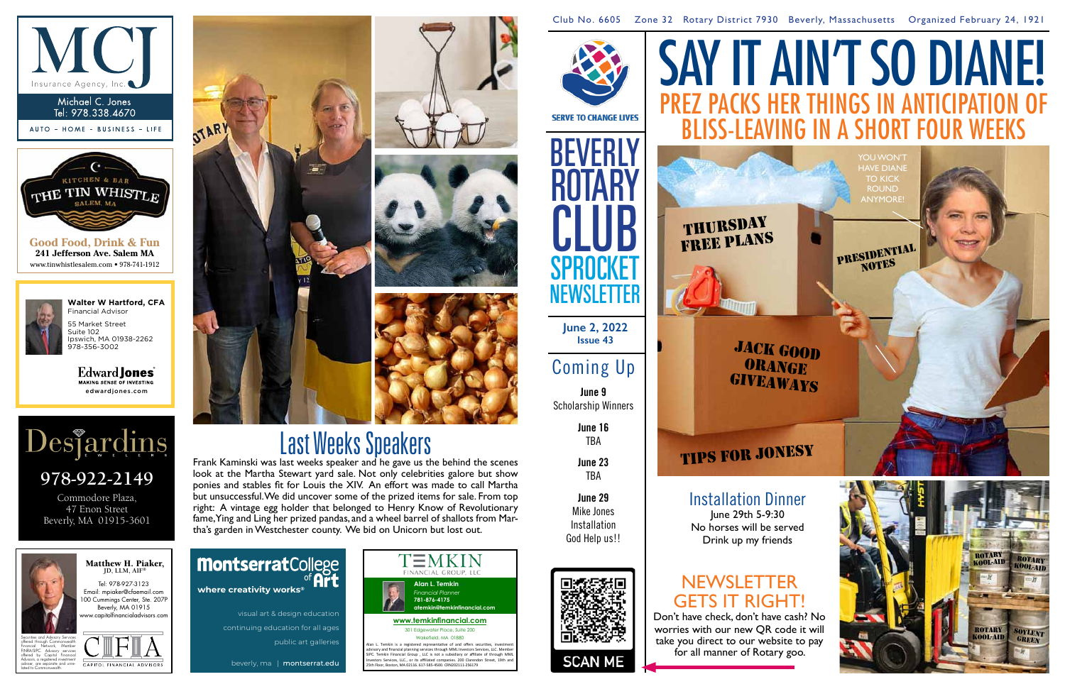Club No. 6605 Zone 32 Rotary District 7930 Beverly, Massachusetts Organized February 24, 1921

**June 2, 2022 Issue 43**

# Coming Up

**June 9** Scholarship Winners

> **June 16** TBA

**June 23** TBA

Edward **Jones** MAKING SENSE OF INVESTING edwardjones.com

> **June 29** Mike Jones Installation God Help us!!







**Good Food, Drink & Fun 241 Jefferson Ave. Salem MA** www.tinwhistlesalem.com • 978-741-1912



3.5" x 2"

MKT-5894K-A

**Walter W Hartford, CFA** Financial Advisor 55 Market Street Suite 102 Ipswich, MA 01938-2262 978-356-3002



Commodore Plaza, 47 Enon Street Beverly, MA 01915-3601





## **NEWSLETTER** GETS IT RIGHT!

Tel: 978-927-3123 Email: mpiaker@cfaemail.com 00 Cummings Center, Ste. 207P Beverly, MA 01915 ww.capitolfinancialadvisors. Matthew H. Piaker, **JD, LLM, AIF®**

# SAY IT AIN'T SO DIANE! bliss-leaving in a short four weeks

JACK GOOD **ORANGE GIVEAWAYS** 

YOU WON'<sup>-</sup> **HAVE DIAN** TO KICK **ROUND ANYMORE** 

# **TIPS FOR JONESY**

PRESIDENTIAL













lated to Commonwealth.



Installation Dinner

June 29th 5-9:30 No horses will be served Drink up my friends

# Last Weeks Speakers

Frank Kaminski was last weeks speaker and he gave us the behind the scenes look at the Martha Stewart yard sale. Not only celebrities galore but show ponies and stables fit for Louis the XIV. An effort was made to call Martha but unsuccessful. We did uncover some of the prized items for sale. From top right: A vintage egg holder that belonged to Henry Know of Revolutionary fame, Ying and Ling her prized pandas, and a wheel barrel of shallots from Martha's garden in Westchester county. We bid on Unicorn but lost out.

> Don't have check, don't have cash? No worries with our new QR code it will take you direct to our website to pay for all manner of Rotary goo.